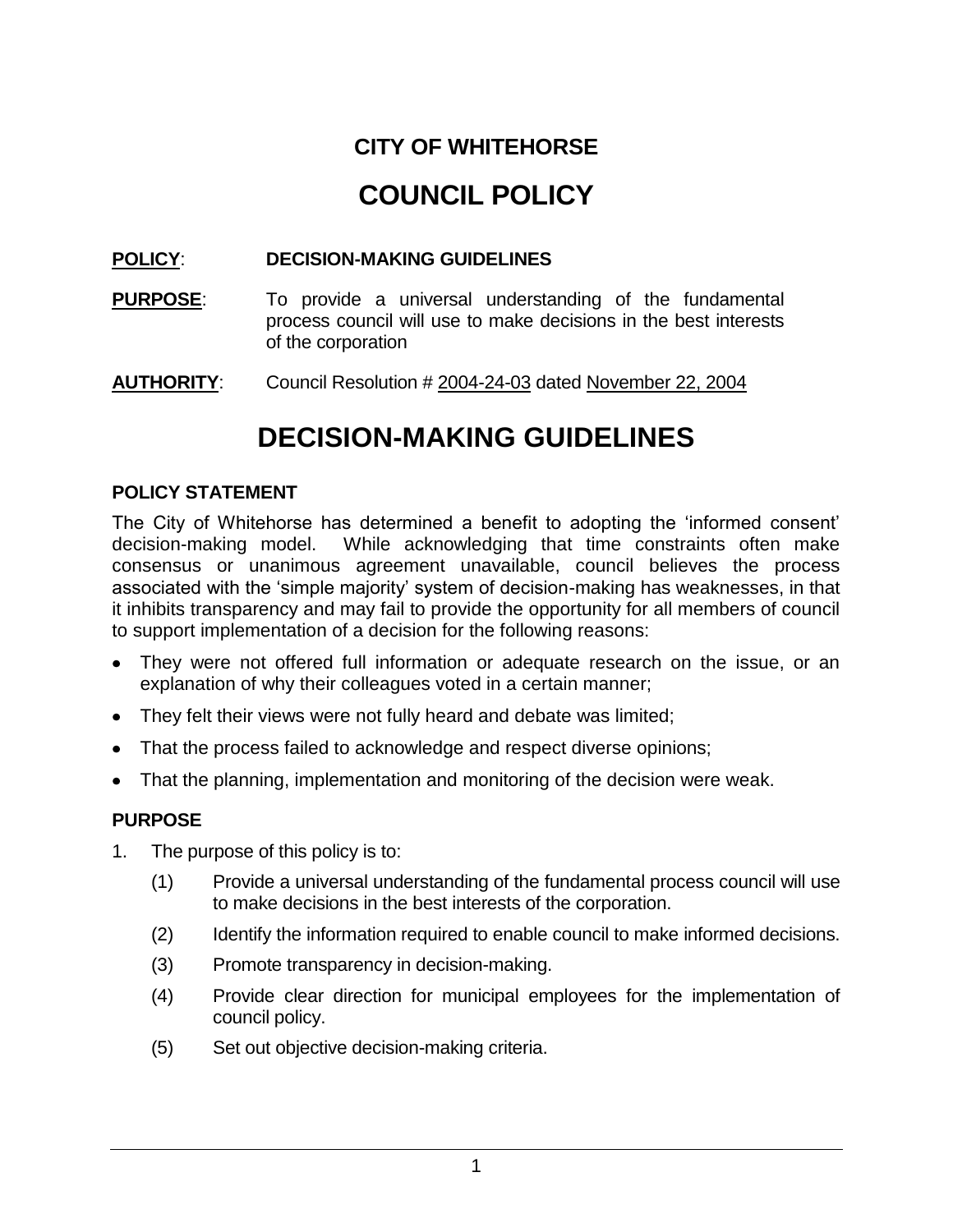# **CITY OF WHITEHORSE COUNCIL POLICY**

## **POLICY**: **DECISION-MAKING GUIDELINES**

- **PURPOSE:** To provide a universal understanding of the fundamental process council will use to make decisions in the best interests of the corporation
- **AUTHORITY**: Council Resolution # 2004-24-03 dated November 22, 2004

# **DECISION-MAKING GUIDELINES**

#### **POLICY STATEMENT**

The City of Whitehorse has determined a benefit to adopting the "informed consent" decision-making model. While acknowledging that time constraints often make consensus or unanimous agreement unavailable, council believes the process associated with the "simple majority" system of decision-making has weaknesses, in that it inhibits transparency and may fail to provide the opportunity for all members of council to support implementation of a decision for the following reasons:

- They were not offered full information or adequate research on the issue, or an explanation of why their colleagues voted in a certain manner;
- They felt their views were not fully heard and debate was limited;
- That the process failed to acknowledge and respect diverse opinions;
- That the planning, implementation and monitoring of the decision were weak.

### **PURPOSE**

- 1. The purpose of this policy is to:
	- (1) Provide a universal understanding of the fundamental process council will use to make decisions in the best interests of the corporation.
	- (2) Identify the information required to enable council to make informed decisions.
	- (3) Promote transparency in decision-making.
	- (4) Provide clear direction for municipal employees for the implementation of council policy.
	- (5) Set out objective decision-making criteria.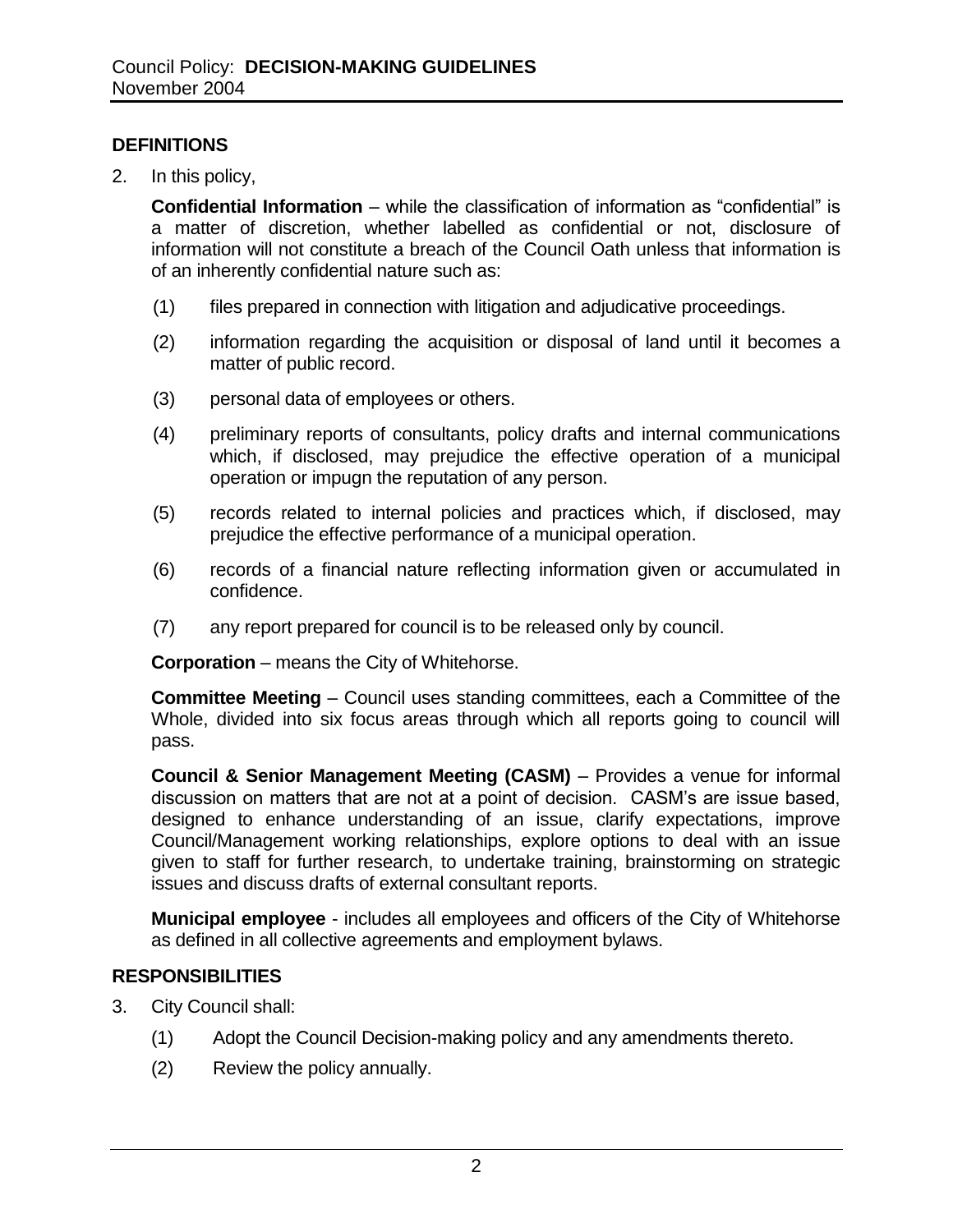### **DEFINITIONS**

2. In this policy,

**Confidential Information** – while the classification of information as "confidential" is a matter of discretion, whether labelled as confidential or not, disclosure of information will not constitute a breach of the Council Oath unless that information is of an inherently confidential nature such as:

- (1) files prepared in connection with litigation and adjudicative proceedings.
- (2) information regarding the acquisition or disposal of land until it becomes a matter of public record.
- (3) personal data of employees or others.
- (4) preliminary reports of consultants, policy drafts and internal communications which, if disclosed, may prejudice the effective operation of a municipal operation or impugn the reputation of any person.
- (5) records related to internal policies and practices which, if disclosed, may prejudice the effective performance of a municipal operation.
- (6) records of a financial nature reflecting information given or accumulated in confidence.
- (7) any report prepared for council is to be released only by council.

**Corporation** – means the City of Whitehorse.

**Committee Meeting** – Council uses standing committees, each a Committee of the Whole, divided into six focus areas through which all reports going to council will pass.

**Council & Senior Management Meeting (CASM)** – Provides a venue for informal discussion on matters that are not at a point of decision. CASM"s are issue based, designed to enhance understanding of an issue, clarify expectations, improve Council/Management working relationships, explore options to deal with an issue given to staff for further research, to undertake training, brainstorming on strategic issues and discuss drafts of external consultant reports.

**Municipal employee** - includes all employees and officers of the City of Whitehorse as defined in all collective agreements and employment bylaws.

#### **RESPONSIBILITIES**

- 3. City Council shall:
	- (1) Adopt the Council Decision-making policy and any amendments thereto.
	- (2) Review the policy annually.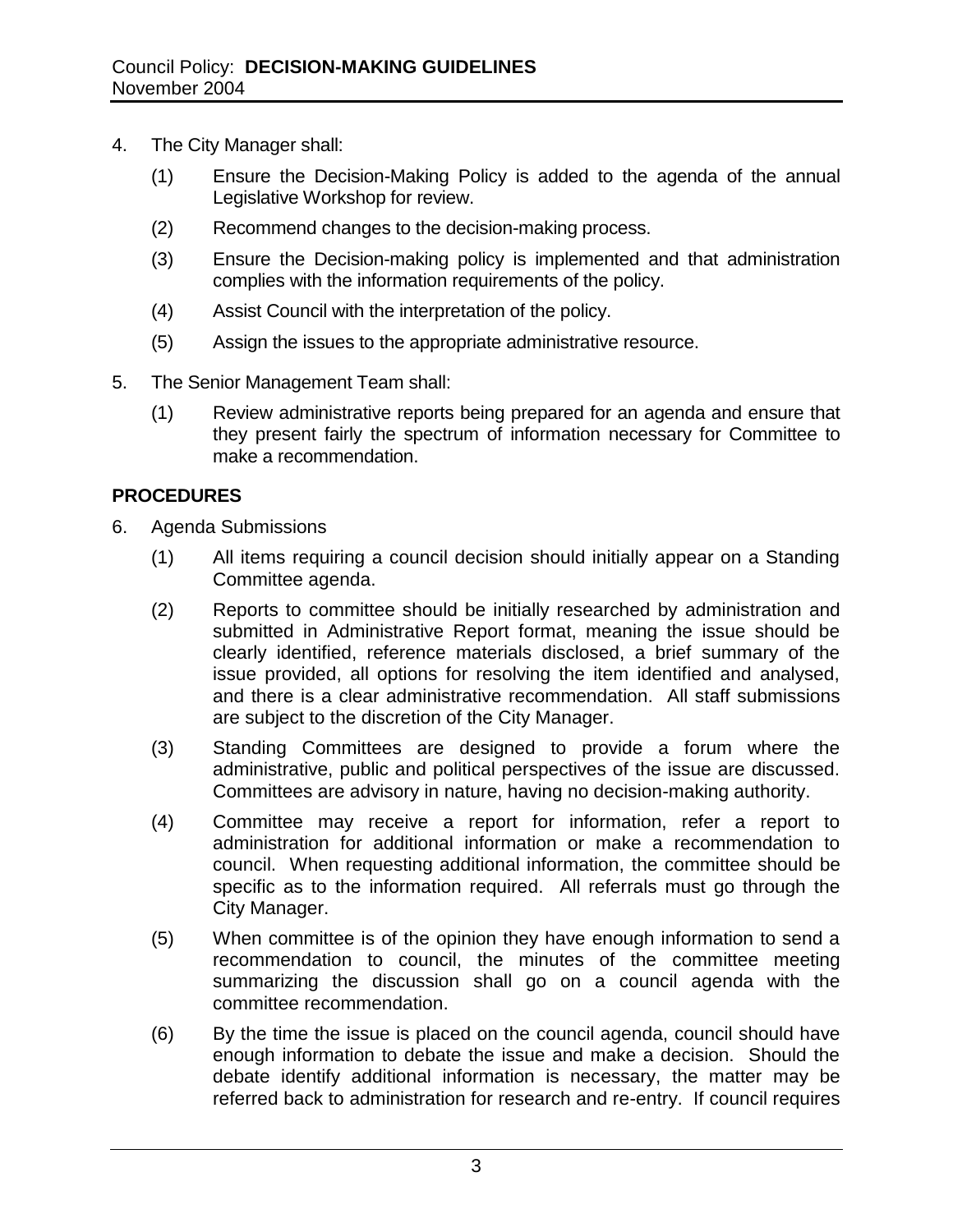- 4. The City Manager shall:
	- (1) Ensure the Decision-Making Policy is added to the agenda of the annual Legislative Workshop for review.
	- (2) Recommend changes to the decision-making process.
	- (3) Ensure the Decision-making policy is implemented and that administration complies with the information requirements of the policy.
	- (4) Assist Council with the interpretation of the policy.
	- (5) Assign the issues to the appropriate administrative resource.
- 5. The Senior Management Team shall:
	- (1) Review administrative reports being prepared for an agenda and ensure that they present fairly the spectrum of information necessary for Committee to make a recommendation.

### **PROCEDURES**

- 6. Agenda Submissions
	- (1) All items requiring a council decision should initially appear on a Standing Committee agenda.
	- (2) Reports to committee should be initially researched by administration and submitted in Administrative Report format, meaning the issue should be clearly identified, reference materials disclosed, a brief summary of the issue provided, all options for resolving the item identified and analysed, and there is a clear administrative recommendation. All staff submissions are subject to the discretion of the City Manager.
	- (3) Standing Committees are designed to provide a forum where the administrative, public and political perspectives of the issue are discussed. Committees are advisory in nature, having no decision-making authority.
	- (4) Committee may receive a report for information, refer a report to administration for additional information or make a recommendation to council. When requesting additional information, the committee should be specific as to the information required. All referrals must go through the City Manager.
	- (5) When committee is of the opinion they have enough information to send a recommendation to council, the minutes of the committee meeting summarizing the discussion shall go on a council agenda with the committee recommendation.
	- (6) By the time the issue is placed on the council agenda, council should have enough information to debate the issue and make a decision. Should the debate identify additional information is necessary, the matter may be referred back to administration for research and re-entry. If council requires